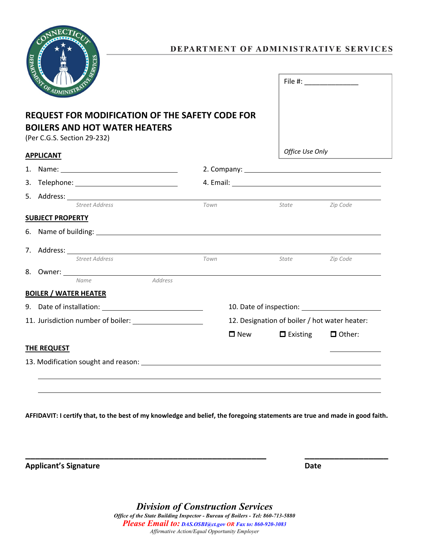

## **REQUEST FOR MODIFICATION OF THE SAFETY CODE FOR BOILERS AND HOT WATER HEATERS**

(Per C.G.S. Section 29-232)

**APPLICANT**

*Office Use Only*

File #: \_\_\_\_\_\_\_\_\_\_\_\_\_\_

| <u>AFFLILAIN I</u> |                                                                                                                                                                                                                                |         |      |                                               |                               |          |  |
|--------------------|--------------------------------------------------------------------------------------------------------------------------------------------------------------------------------------------------------------------------------|---------|------|-----------------------------------------------|-------------------------------|----------|--|
|                    |                                                                                                                                                                                                                                |         |      |                                               |                               |          |  |
|                    |                                                                                                                                                                                                                                |         |      |                                               |                               |          |  |
|                    | 5. Address: No. 1996. Address: No. 1997. Address: No. 1997. Address: No. 1997. Address: No. 1997. Address: No. 1997. Address: No. 1997. Address: No. 1997. Address: No. 1997. Address: No. 1997. Address: No. 1997. Address: N |         |      |                                               |                               |          |  |
|                    | Street Address                                                                                                                                                                                                                 |         | Town |                                               | <i>State</i> and <i>State</i> | Zip Code |  |
|                    | <b>SUBJECT PROPERTY</b>                                                                                                                                                                                                        |         |      |                                               |                               |          |  |
|                    |                                                                                                                                                                                                                                |         |      |                                               |                               |          |  |
|                    |                                                                                                                                                                                                                                |         |      |                                               |                               |          |  |
|                    | Street Address                                                                                                                                                                                                                 |         | Town |                                               | State                         | Zip Code |  |
|                    |                                                                                                                                                                                                                                |         |      |                                               |                               |          |  |
|                    | Name                                                                                                                                                                                                                           | Address |      |                                               |                               |          |  |
|                    | <b>BOILER / WATER HEATER</b>                                                                                                                                                                                                   |         |      |                                               |                               |          |  |
|                    |                                                                                                                                                                                                                                |         |      |                                               |                               |          |  |
|                    |                                                                                                                                                                                                                                |         |      | 12. Designation of boiler / hot water heater: |                               |          |  |
|                    |                                                                                                                                                                                                                                |         |      | $\Box$ New                                    | $\blacksquare$ Existing       | □ Other: |  |
|                    | <b>THE REQUEST</b>                                                                                                                                                                                                             |         |      |                                               |                               |          |  |
|                    |                                                                                                                                                                                                                                |         |      |                                               |                               |          |  |

**AFFIDAVIT: I certify that, to the best of my knowledge and belief, the foregoing statements are true and made in good faith.**

**\_\_\_\_\_\_\_\_\_\_\_\_\_\_\_\_\_\_\_\_\_\_\_\_\_\_\_\_\_\_\_\_\_\_\_\_\_\_\_\_\_\_\_\_\_\_\_\_\_ \_\_\_\_\_\_\_\_\_\_\_\_\_\_\_\_\_**

**Applicant's Signature Date**